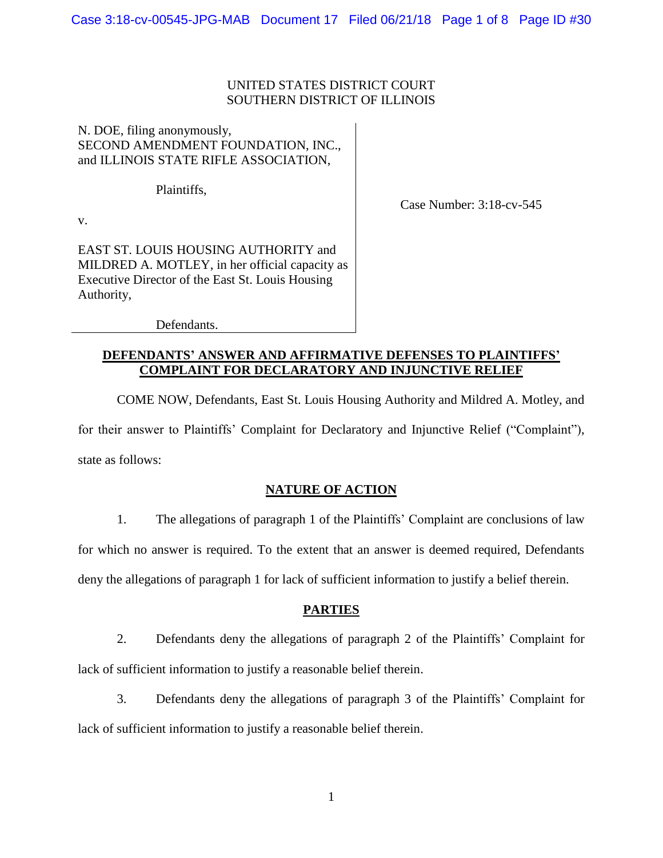## UNITED STATES DISTRICT COURT SOUTHERN DISTRICT OF ILLINOIS

## N. DOE, filing anonymously, SECOND AMENDMENT FOUNDATION, INC., and ILLINOIS STATE RIFLE ASSOCIATION,

Plaintiffs,

Case Number: 3:18-cv-545

v.

EAST ST. LOUIS HOUSING AUTHORITY and MILDRED A. MOTLEY, in her official capacity as Executive Director of the East St. Louis Housing Authority,

Defendants.

## **DEFENDANTS' ANSWER AND AFFIRMATIVE DEFENSES TO PLAINTIFFS' COMPLAINT FOR DECLARATORY AND INJUNCTIVE RELIEF**

COME NOW, Defendants, East St. Louis Housing Authority and Mildred A. Motley, and for their answer to Plaintiffs' Complaint for Declaratory and Injunctive Relief ("Complaint"), state as follows:

# **NATURE OF ACTION**

1. The allegations of paragraph 1 of the Plaintiffs' Complaint are conclusions of law for which no answer is required. To the extent that an answer is deemed required, Defendants deny the allegations of paragraph 1 for lack of sufficient information to justify a belief therein.

# **PARTIES**

2. Defendants deny the allegations of paragraph 2 of the Plaintiffs' Complaint for lack of sufficient information to justify a reasonable belief therein.

3. Defendants deny the allegations of paragraph 3 of the Plaintiffs' Complaint for lack of sufficient information to justify a reasonable belief therein.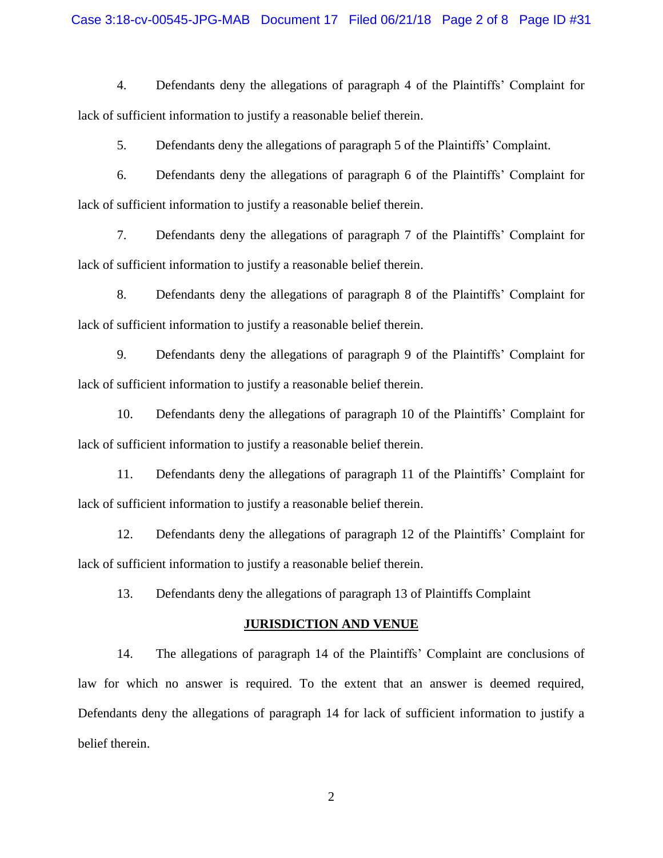#### Case 3:18-cv-00545-JPG-MAB Document 17 Filed 06/21/18 Page 2 of 8 Page ID #31

4. Defendants deny the allegations of paragraph 4 of the Plaintiffs' Complaint for lack of sufficient information to justify a reasonable belief therein.

5. Defendants deny the allegations of paragraph 5 of the Plaintiffs' Complaint.

6. Defendants deny the allegations of paragraph 6 of the Plaintiffs' Complaint for lack of sufficient information to justify a reasonable belief therein.

7. Defendants deny the allegations of paragraph 7 of the Plaintiffs' Complaint for lack of sufficient information to justify a reasonable belief therein.

8. Defendants deny the allegations of paragraph 8 of the Plaintiffs' Complaint for lack of sufficient information to justify a reasonable belief therein.

9. Defendants deny the allegations of paragraph 9 of the Plaintiffs' Complaint for lack of sufficient information to justify a reasonable belief therein.

10. Defendants deny the allegations of paragraph 10 of the Plaintiffs' Complaint for lack of sufficient information to justify a reasonable belief therein.

11. Defendants deny the allegations of paragraph 11 of the Plaintiffs' Complaint for lack of sufficient information to justify a reasonable belief therein.

12. Defendants deny the allegations of paragraph 12 of the Plaintiffs' Complaint for lack of sufficient information to justify a reasonable belief therein.

13. Defendants deny the allegations of paragraph 13 of Plaintiffs Complaint

#### **JURISDICTION AND VENUE**

14. The allegations of paragraph 14 of the Plaintiffs' Complaint are conclusions of law for which no answer is required. To the extent that an answer is deemed required, Defendants deny the allegations of paragraph 14 for lack of sufficient information to justify a belief therein.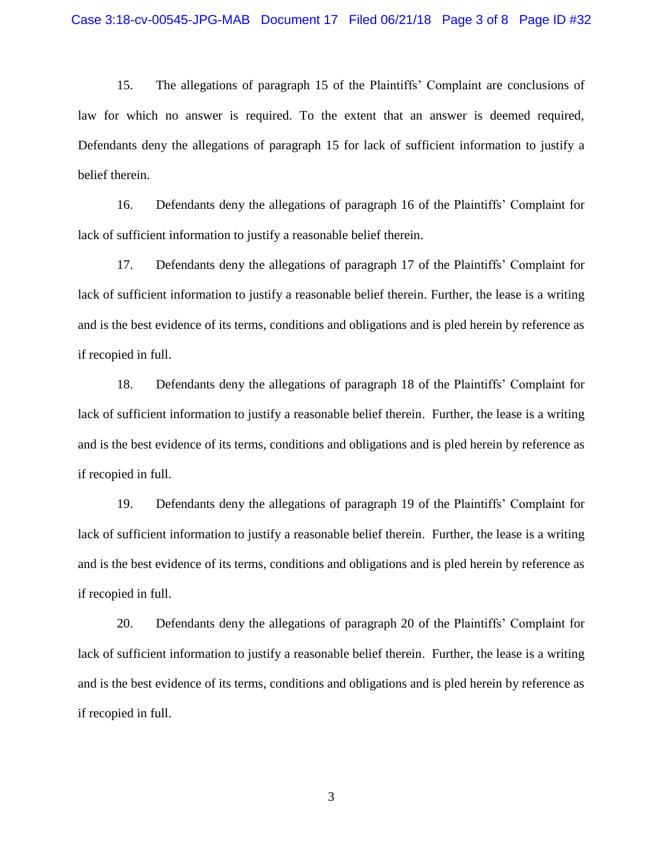15. The allegations of paragraph 15 of the Plaintiffs' Complaint are conclusions of law for which no answer is required. To the extent that an answer is deemed required, Defendants deny the allegations of paragraph 15 for lack of sufficient information to justify a belief therein.

16. Defendants deny the allegations of paragraph 16 of the Plaintiffs' Complaint for lack of sufficient information to justify a reasonable belief therein.

17. Defendants deny the allegations of paragraph 17 of the Plaintiffs' Complaint for lack of sufficient information to justify a reasonable belief therein. Further, the lease is a writing and is the best evidence of its terms, conditions and obligations and is pled herein by reference as if recopied in full.

18. Defendants deny the allegations of paragraph 18 of the Plaintiffs' Complaint for lack of sufficient information to justify a reasonable belief therein. Further, the lease is a writing and is the best evidence of its terms, conditions and obligations and is pled herein by reference as if recopied in full.

19. Defendants deny the allegations of paragraph 19 of the Plaintiffs' Complaint for lack of sufficient information to justify a reasonable belief therein. Further, the lease is a writing and is the best evidence of its terms, conditions and obligations and is pled herein by reference as if recopied in full.

20. Defendants deny the allegations of paragraph 20 of the Plaintiffs' Complaint for lack of sufficient information to justify a reasonable belief therein. Further, the lease is a writing and is the best evidence of its terms, conditions and obligations and is pled herein by reference as if recopied in full.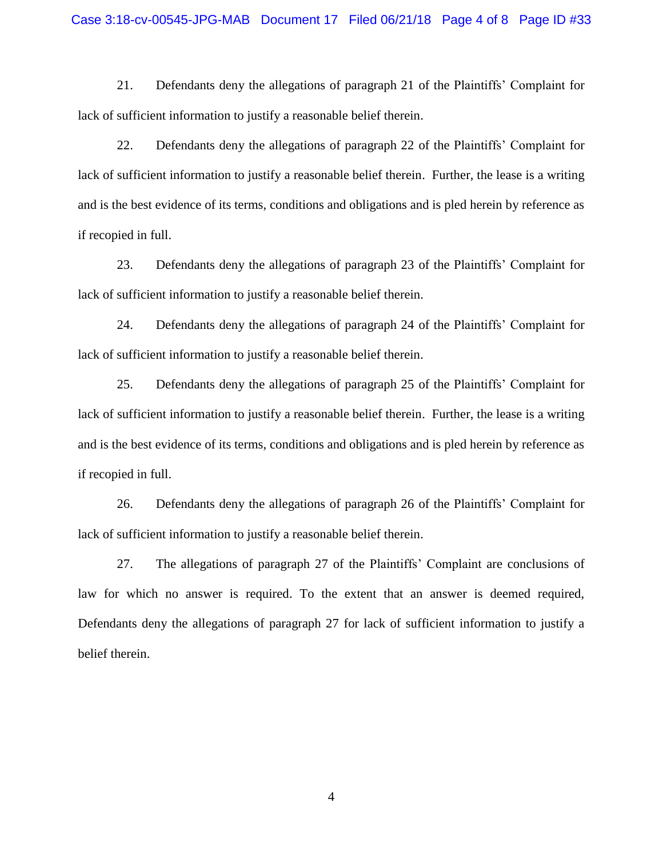21. Defendants deny the allegations of paragraph 21 of the Plaintiffs' Complaint for lack of sufficient information to justify a reasonable belief therein.

22. Defendants deny the allegations of paragraph 22 of the Plaintiffs' Complaint for lack of sufficient information to justify a reasonable belief therein. Further, the lease is a writing and is the best evidence of its terms, conditions and obligations and is pled herein by reference as if recopied in full.

23. Defendants deny the allegations of paragraph 23 of the Plaintiffs' Complaint for lack of sufficient information to justify a reasonable belief therein.

24. Defendants deny the allegations of paragraph 24 of the Plaintiffs' Complaint for lack of sufficient information to justify a reasonable belief therein.

25. Defendants deny the allegations of paragraph 25 of the Plaintiffs' Complaint for lack of sufficient information to justify a reasonable belief therein. Further, the lease is a writing and is the best evidence of its terms, conditions and obligations and is pled herein by reference as if recopied in full.

26. Defendants deny the allegations of paragraph 26 of the Plaintiffs' Complaint for lack of sufficient information to justify a reasonable belief therein.

27. The allegations of paragraph 27 of the Plaintiffs' Complaint are conclusions of law for which no answer is required. To the extent that an answer is deemed required, Defendants deny the allegations of paragraph 27 for lack of sufficient information to justify a belief therein.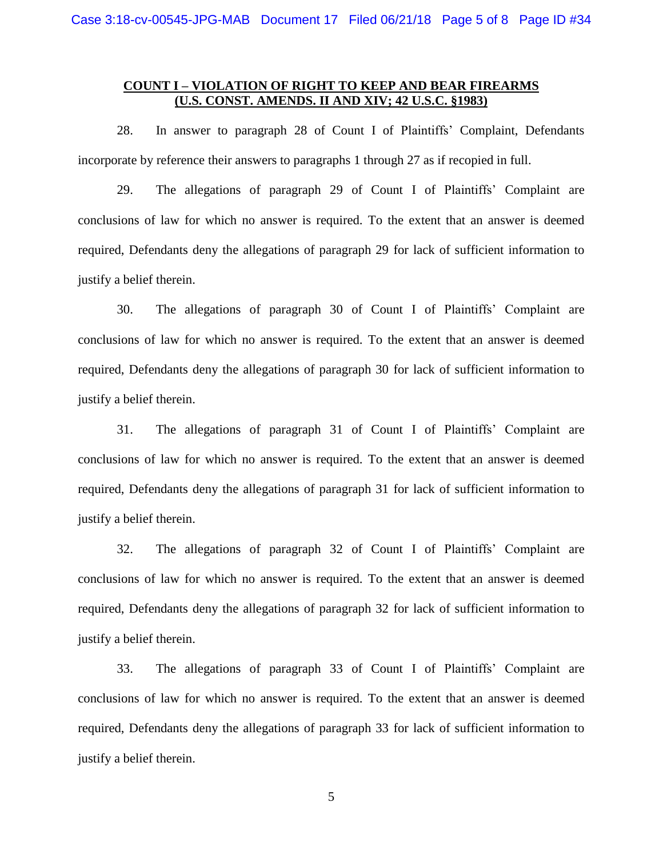### **COUNT I – VIOLATION OF RIGHT TO KEEP AND BEAR FIREARMS (U.S. CONST. AMENDS. II AND XIV; 42 U.S.C. §1983)**

28. In answer to paragraph 28 of Count I of Plaintiffs' Complaint, Defendants incorporate by reference their answers to paragraphs 1 through 27 as if recopied in full.

29. The allegations of paragraph 29 of Count I of Plaintiffs' Complaint are conclusions of law for which no answer is required. To the extent that an answer is deemed required, Defendants deny the allegations of paragraph 29 for lack of sufficient information to justify a belief therein.

30. The allegations of paragraph 30 of Count I of Plaintiffs' Complaint are conclusions of law for which no answer is required. To the extent that an answer is deemed required, Defendants deny the allegations of paragraph 30 for lack of sufficient information to justify a belief therein.

31. The allegations of paragraph 31 of Count I of Plaintiffs' Complaint are conclusions of law for which no answer is required. To the extent that an answer is deemed required, Defendants deny the allegations of paragraph 31 for lack of sufficient information to justify a belief therein.

32. The allegations of paragraph 32 of Count I of Plaintiffs' Complaint are conclusions of law for which no answer is required. To the extent that an answer is deemed required, Defendants deny the allegations of paragraph 32 for lack of sufficient information to justify a belief therein.

33. The allegations of paragraph 33 of Count I of Plaintiffs' Complaint are conclusions of law for which no answer is required. To the extent that an answer is deemed required, Defendants deny the allegations of paragraph 33 for lack of sufficient information to justify a belief therein.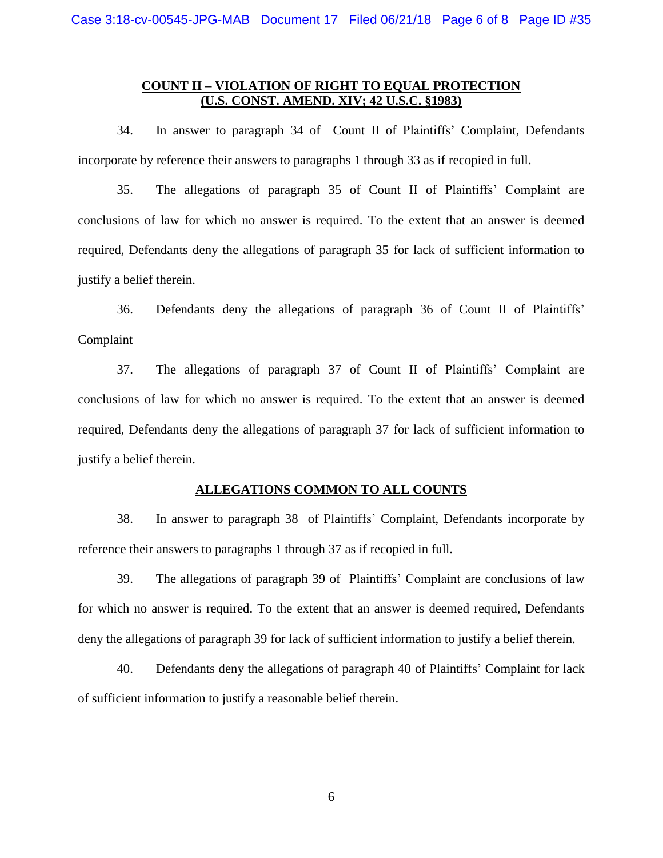### **COUNT II – VIOLATION OF RIGHT TO EQUAL PROTECTION (U.S. CONST. AMEND. XIV; 42 U.S.C. §1983)**

34. In answer to paragraph 34 of Count II of Plaintiffs' Complaint, Defendants incorporate by reference their answers to paragraphs 1 through 33 as if recopied in full.

35. The allegations of paragraph 35 of Count II of Plaintiffs' Complaint are conclusions of law for which no answer is required. To the extent that an answer is deemed required, Defendants deny the allegations of paragraph 35 for lack of sufficient information to justify a belief therein.

36. Defendants deny the allegations of paragraph 36 of Count II of Plaintiffs' Complaint

37. The allegations of paragraph 37 of Count II of Plaintiffs' Complaint are conclusions of law for which no answer is required. To the extent that an answer is deemed required, Defendants deny the allegations of paragraph 37 for lack of sufficient information to justify a belief therein.

#### **ALLEGATIONS COMMON TO ALL COUNTS**

38. In answer to paragraph 38 of Plaintiffs' Complaint, Defendants incorporate by reference their answers to paragraphs 1 through 37 as if recopied in full.

39. The allegations of paragraph 39 of Plaintiffs' Complaint are conclusions of law for which no answer is required. To the extent that an answer is deemed required, Defendants deny the allegations of paragraph 39 for lack of sufficient information to justify a belief therein.

40. Defendants deny the allegations of paragraph 40 of Plaintiffs' Complaint for lack of sufficient information to justify a reasonable belief therein.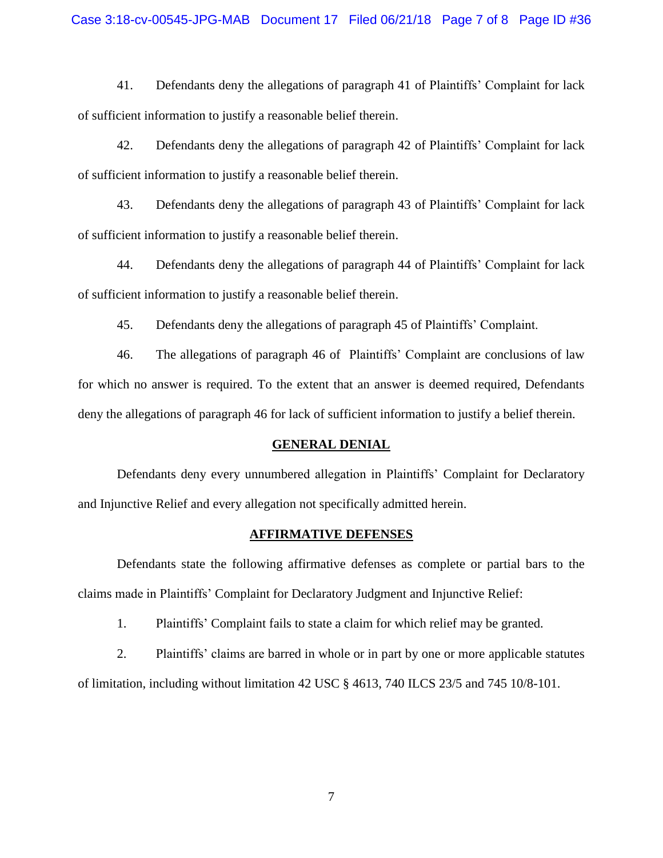41. Defendants deny the allegations of paragraph 41 of Plaintiffs' Complaint for lack of sufficient information to justify a reasonable belief therein.

42. Defendants deny the allegations of paragraph 42 of Plaintiffs' Complaint for lack of sufficient information to justify a reasonable belief therein.

43. Defendants deny the allegations of paragraph 43 of Plaintiffs' Complaint for lack of sufficient information to justify a reasonable belief therein.

44. Defendants deny the allegations of paragraph 44 of Plaintiffs' Complaint for lack of sufficient information to justify a reasonable belief therein.

45. Defendants deny the allegations of paragraph 45 of Plaintiffs' Complaint.

46. The allegations of paragraph 46 of Plaintiffs' Complaint are conclusions of law for which no answer is required. To the extent that an answer is deemed required, Defendants deny the allegations of paragraph 46 for lack of sufficient information to justify a belief therein.

#### **GENERAL DENIAL**

Defendants deny every unnumbered allegation in Plaintiffs' Complaint for Declaratory and Injunctive Relief and every allegation not specifically admitted herein.

#### **AFFIRMATIVE DEFENSES**

Defendants state the following affirmative defenses as complete or partial bars to the claims made in Plaintiffs' Complaint for Declaratory Judgment and Injunctive Relief:

1. Plaintiffs' Complaint fails to state a claim for which relief may be granted.

2. Plaintiffs' claims are barred in whole or in part by one or more applicable statutes of limitation, including without limitation 42 USC § 4613, 740 ILCS 23/5 and 745 10/8-101.